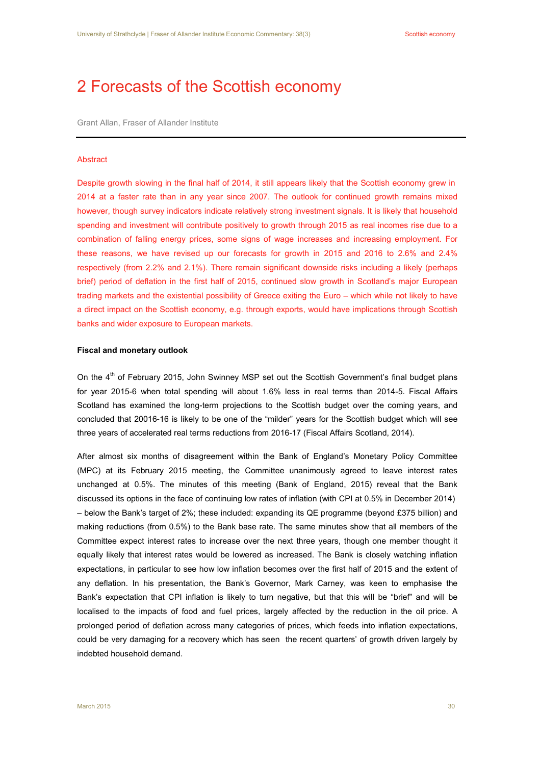# 2 Forecasts of the Scottish economy

Grant Allan, Fraser of Allander Institute

#### Abstract

Despite growth slowing in the final half of 2014, it still appears likely that the Scottish economy grew in 2014 at a faster rate than in any year since 2007. The outlook for continued growth remains mixed however, though survey indicators indicate relatively strong investment signals. It is likely that household spending and investment will contribute positively to growth through 2015 as real incomes rise due to a combination of falling energy prices, some signs of wage increases and increasing employment. For these reasons, we have revised up our forecasts for growth in 2015 and 2016 to 2.6% and 2.4% respectively (from 2.2% and 2.1%). There remain significant downside risks including a likely (perhaps brief) period of deflation in the first half of 2015, continued slow growth in Scotland's major European trading markets and the existential possibility of Greece exiting the Euro – which while not likely to have a direct impact on the Scottish economy, e.g. through exports, would have implications through Scottish banks and wider exposure to European markets.

### **Fiscal and monetary outlook**

On the 4<sup>th</sup> of February 2015, John Swinney MSP set out the Scottish Government's final budget plans for year 2015-6 when total spending will about 1.6% less in real terms than 2014-5. Fiscal Affairs Scotland has examined the long-term projections to the Scottish budget over the coming years, and concluded that 20016-16 is likely to be one of the "milder" years for the Scottish budget which will see three years of accelerated real terms reductions from 2016-17 (Fiscal Affairs Scotland, 2014).

After almost six months of disagreement within the Bank of England's Monetary Policy Committee (MPC) at its February 2015 meeting, the Committee unanimously agreed to leave interest rates unchanged at 0.5%. The minutes of this meeting (Bank of England, 2015) reveal that the Bank discussed its options in the face of continuing low rates of inflation (with CPI at 0.5% in December 2014) – below the Bank's target of 2%; these included: expanding its QE programme (beyond £375 billion) and making reductions (from 0.5%) to the Bank base rate. The same minutes show that all members of the Committee expect interest rates to increase over the next three years, though one member thought it equally likely that interest rates would be lowered as increased. The Bank is closely watching inflation expectations, in particular to see how low inflation becomes over the first half of 2015 and the extent of any deflation. In his presentation, the Bank's Governor, Mark Carney, was keen to emphasise the Bank's expectation that CPI inflation is likely to turn negative, but that this will be "brief" and will be localised to the impacts of food and fuel prices, largely affected by the reduction in the oil price. A prolonged period of deflation across many categories of prices, which feeds into inflation expectations, could be very damaging for a recovery which has seen the recent quarters' of growth driven largely by indebted household demand.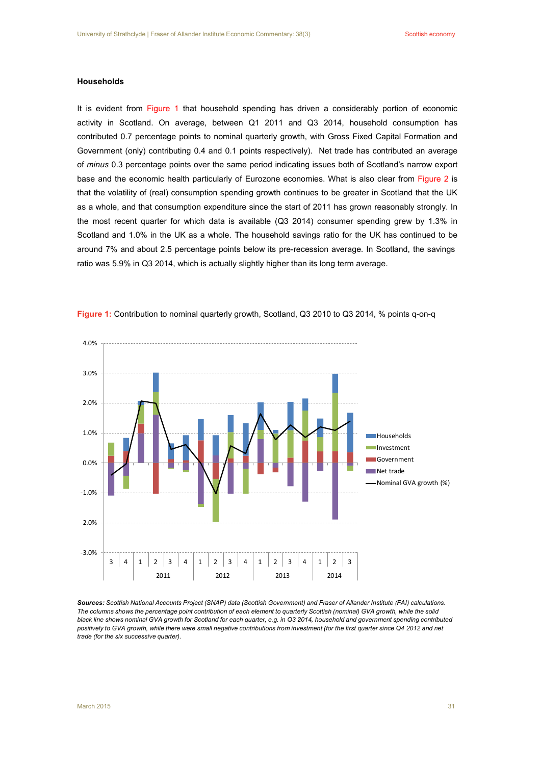# **Households**

It is evident from Figure 1 that household spending has driven a considerably portion of economic activity in Scotland. On average, between Q1 2011 and Q3 2014, household consumption has contributed 0.7 percentage points to nominal quarterly growth, with Gross Fixed Capital Formation and Government (only) contributing 0.4 and 0.1 points respectively). Net trade has contributed an average of *minus* 0.3 percentage points over the same period indicating issues both of Scotland's narrow export base and the economic health particularly of Eurozone economies. What is also clear from Figure 2 is that the volatility of (real) consumption spending growth continues to be greater in Scotland that the UK as a whole, and that consumption expenditure since the start of 2011 has grown reasonably strongly. In the most recent quarter for which data is available (Q3 2014) consumer spending grew by 1.3% in Scotland and 1.0% in the UK as a whole. The household savings ratio for the UK has continued to be around 7% and about 2.5 percentage points below its pre-recession average. In Scotland, the savings ratio was 5.9% in Q3 2014, which is actually slightly higher than its long term average.



**Figure 1:** Contribution to nominal quarterly growth, Scotland, Q3 2010 to Q3 2014, % points q-on-q

Sources: Scottish National Accounts Project (SNAP) data (Scottish Government) and Fraser of Allander Institute (FAI) calculations. The columns shows the percentage point contribution of each element to quarterly Scottish (nominal) GVA growth, while the solid black line shows nominal GVA growth for Scotland for each quarter, e.g. in Q3 2014, household and government spending contributed positively to GVA growth, while there were small negative contributions from investment (for the first quarter since Q4 2012 and net *trade (for the six successive quarter).*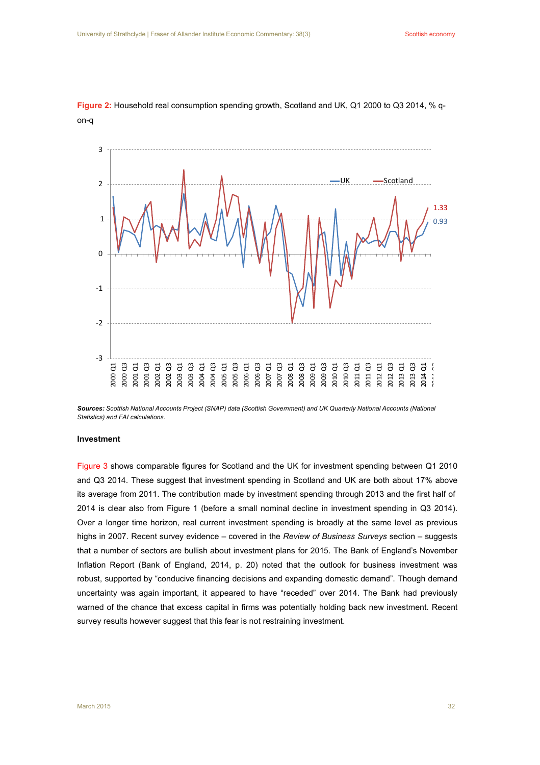

**Figure 2:** Household real consumption spending growth, Scotland and UK, Q1 2000 to Q3 2014, % qon-q

Sources: Scottish National Accounts Project (SNAP) data (Scottish Government) and UK Quarterly National Accounts (National *Statistics) and FAI calculations.*

## **Investment**

Figure 3 shows comparable figures for Scotland and the UK for investment spending between Q1 2010 and Q3 2014. These suggest that investment spending in Scotland and UK are both about 17% above its average from 2011. The contribution made by investment spending through 2013 and the first half of 2014 is clear also from Figure 1 (before a small nominal decline in investment spending in Q3 2014). Over a longer time horizon, real current investment spending is broadly at the same level as previous highs in 2007. Recent survey evidence – covered in the *Review of Business Surveys* section – suggests that a number of sectors are bullish about investment plans for 2015. The Bank of England's November Inflation Report (Bank of England, 2014, p. 20) noted that the outlook for business investment was robust, supported by "conducive financing decisions and expanding domestic demand". Though demand uncertainty was again important, it appeared to have "receded" over 2014. The Bank had previously warned of the chance that excess capital in firms was potentially holding back new investment. Recent survey results however suggest that this fear is not restraining investment.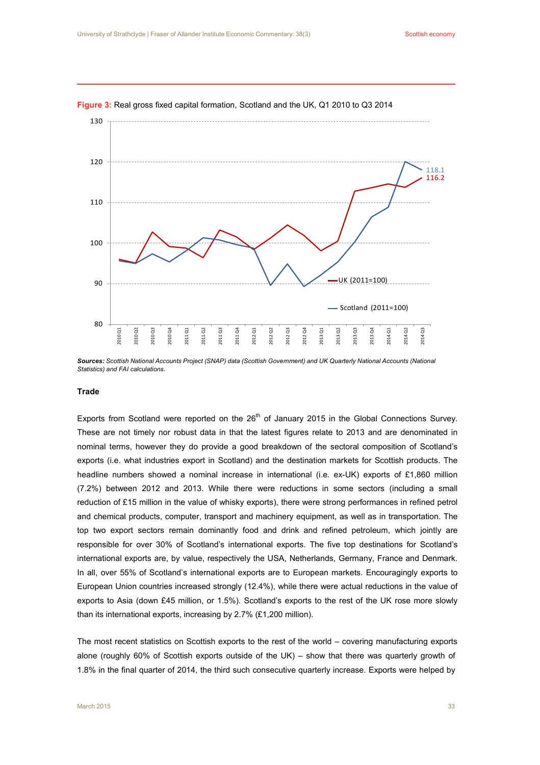

#### **Figure 3:** Real gross fixed capital formation, Scotland and the UK, Q1 2010 to Q3 2014

Sources: Scottish National Accounts Project (SNAP) data (Scottish Government) and UK Quarterly National Accounts (National *Statistics) and FAI calculations*.

#### **Trade**

Exports from Scotland were reported on the  $26<sup>th</sup>$  of January 2015 in the Global Connections Survey. These are not timely nor robust data in that the latest figures relate to 2013 and are denominated in nominal terms, however they do provide a good breakdown of the sectoral composition of Scotland's exports (i.e. what industries export in Scotland) and the destination markets for Scottish products. The headline numbers showed a nominal increase in international (i.e. ex-UK) exports of £1,860 million (7.2%) between 2012 and 2013. While there were reductions in some sectors (including a small reduction of £15 million in the value of whisky exports), there were strong performances in refined petrol and chemical products, computer, transport and machinery equipment, as well as in transportation. The top two export sectors remain dominantly food and drink and refined petroleum, which jointly are responsible for over 30% of Scotland's international exports. The five top destinations for Scotland's international exports are, by value, respectively the USA, Netherlands, Germany, France and Denmark. In all, over 55% of Scotland's international exports are to European markets. Encouragingly exports to European Union countries increased strongly (12.4%), while there were actual reductions in the value of exports to Asia (down £45 million, or 1.5%). Scotland's exports to the rest of the UK rose more slowly than its international exports, increasing by 2.7% (£1,200 million).

The most recent statistics on Scottish exports to the rest of the world – covering manufacturing exports alone (roughly 60% of Scottish exports outside of the UK) – show that there was quarterly growth of 1.8% in the final quarter of 2014, the third such consecutive quarterly increase. Exports were helped by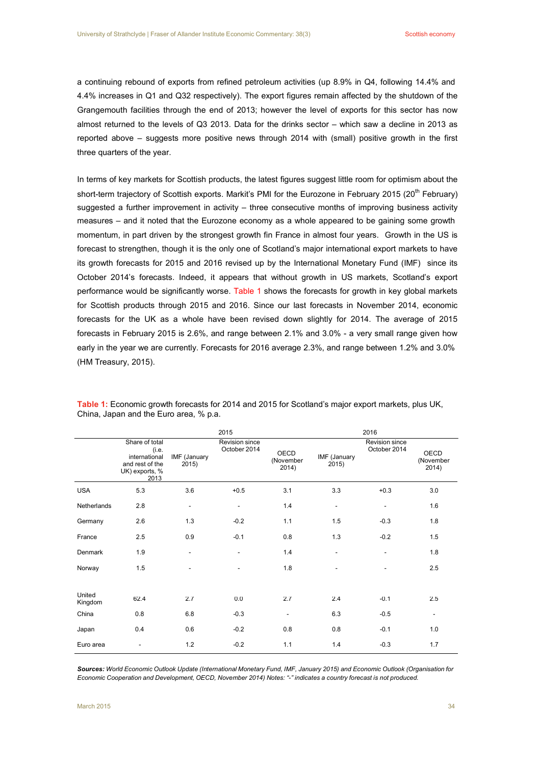a continuing rebound of exports from refined petroleum activities (up 8.9% in Q4, following 14.4% and 4.4% increases in Q1 and Q32 respectively). The export figures remain affected by the shutdown of the Grangemouth facilities through the end of 2013; however the level of exports for this sector has now almost returned to the levels of Q3 2013. Data for the drinks sector – which saw a decline in 2013 as reported above – suggests more positive news through 2014 with (small) positive growth in the first three quarters of the year.

In terms of key markets for Scottish products, the latest figures suggest little room for optimism about the short-term trajectory of Scottish exports. Markit's PMI for the Eurozone in February 2015 (20<sup>th</sup> February) suggested a further improvement in activity – three consecutive months of improving business activity measures – and it noted that the Eurozone economy as a whole appeared to be gaining some growth momentum, in part driven by the strongest growth fin France in almost four years. Growth in the US is forecast to strengthen, though it is the only one of Scotland's major international export markets to have its growth forecasts for 2015 and 2016 revised up by the International Monetary Fund (IMF) since its October 2014's forecasts. Indeed, it appears that without growth in US markets, Scotland's export performance would be significantly worse. Table 1 shows the forecasts for growth in key global markets for Scottish products through 2015 and 2016. Since our last forecasts in November 2014, economic forecasts for the UK as a whole have been revised down slightly for 2014. The average of 2015 forecasts in February 2015 is 2.6%, and range between 2.1% and 3.0% - a very small range given how early in the year we are currently. Forecasts for 2016 average 2.3%, and range between 1.2% and 3.0% (HM Treasury, 2015).

|                   |                                                                                       |                          | 2015                                  |                            |                          | 2016                                  |                            |
|-------------------|---------------------------------------------------------------------------------------|--------------------------|---------------------------------------|----------------------------|--------------------------|---------------------------------------|----------------------------|
|                   | Share of total<br>(i.e.<br>international<br>and rest of the<br>UK) exports, %<br>2013 | IMF (January<br>2015)    | <b>Revision since</b><br>October 2014 | OECD<br>(November<br>2014) | IMF (January<br>2015)    | <b>Revision since</b><br>October 2014 | OECD<br>(November<br>2014) |
| <b>USA</b>        | 5.3                                                                                   | 3.6                      | $+0.5$                                | 3.1                        | 3.3                      | $+0.3$                                | 3.0                        |
| Netherlands       | 2.8                                                                                   | $\overline{\phantom{a}}$ | $\overline{\phantom{0}}$              | 1.4                        | $\overline{\phantom{0}}$ | $\overline{a}$                        | 1.6                        |
| Germany           | 2.6                                                                                   | 1.3                      | $-0.2$                                | 1.1                        | 1.5                      | $-0.3$                                | 1.8                        |
| France            | 2.5                                                                                   | 0.9                      | $-0.1$                                | 0.8                        | 1.3                      | $-0.2$                                | 1.5                        |
| Denmark           | 1.9                                                                                   | ٠                        | ۰                                     | 1.4                        | ٠                        | ٠                                     | 1.8                        |
| Norway            | 1.5                                                                                   | -                        | -                                     | 1.8                        | ٠                        | $\overline{\phantom{a}}$              | 2.5                        |
| United<br>Kingdom | 62.4                                                                                  | 2.7                      | 0.0                                   | 2.7                        | 2.4                      | $-0.1$                                | 2.5                        |
| China             | 0.8                                                                                   | 6.8                      | $-0.3$                                | $\overline{\phantom{0}}$   | 6.3                      | $-0.5$                                | $\overline{\phantom{a}}$   |
| Japan             | 0.4                                                                                   | 0.6                      | $-0.2$                                | 0.8                        | 0.8                      | $-0.1$                                | 1.0                        |
| Euro area         |                                                                                       | 1.2                      | $-0.2$                                | 1.1                        | 1.4                      | $-0.3$                                | 1.7                        |

**Table 1:** Economic growth forecasts for 2014 and 2015 for Scotland's major export markets, plus UK, China, Japan and the Euro area, % p.a.

Sources: World Economic Outlook Update (International Monetary Fund, IMF, January 2015) and Economic Outlook (Organisation for Economic Cooperation and Development, OECD, November 2014) Notes: "-" indicates a country forecast is not produced.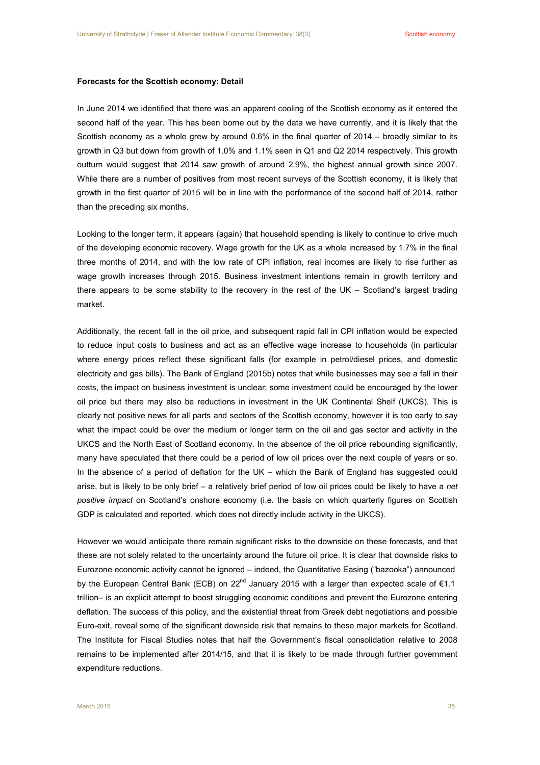## **Forecasts for the Scottish economy: Detail**

In June 2014 we identified that there was an apparent cooling of the Scottish economy as it entered the second half of the year. This has been borne out by the data we have currently, and it is likely that the Scottish economy as a whole grew by around 0.6% in the final quarter of 2014 – broadly similar to its growth in Q3 but down from growth of 1.0% and 1.1% seen in Q1 and Q2 2014 respectively. This growth outturn would suggest that 2014 saw growth of around 2.9%, the highest annual growth since 2007. While there are a number of positives from most recent surveys of the Scottish economy, it is likely that growth in the first quarter of 2015 will be in line with the performance of the second half of 2014, rather than the preceding six months.

Looking to the longer term, it appears (again) that household spending is likely to continue to drive much of the developing economic recovery. Wage growth for the UK as a whole increased by 1.7% in the final three months of 2014, and with the low rate of CPI inflation, real incomes are likely to rise further as wage growth increases through 2015. Business investment intentions remain in growth territory and there appears to be some stability to the recovery in the rest of the UK – Scotland's largest trading market.

Additionally, the recent fall in the oil price, and subsequent rapid fall in CPI inflation would be expected to reduce input costs to business and act as an effective wage increase to households (in particular where energy prices reflect these significant falls (for example in petrol/diesel prices, and domestic electricity and gas bills). The Bank of England (2015b) notes that while businesses may see a fall in their costs, the impact on business investment is unclear: some investment could be encouraged by the lower oil price but there may also be reductions in investment in the UK Continental Shelf (UKCS). This is clearly not positive news for all parts and sectors of the Scottish economy, however it is too early to say what the impact could be over the medium or longer term on the oil and gas sector and activity in the UKCS and the North East of Scotland economy. In the absence of the oil price rebounding significantly, many have speculated that there could be a period of low oil prices over the next couple of years or so. In the absence of a period of deflation for the UK – which the Bank of England has suggested could arise, but is likely to be only brief – a relatively brief period of low oil prices could be likely to have a *net positive impact* on Scotland's onshore economy (i.e. the basis on which quarterly figures on Scottish GDP is calculated and reported, which does not directly include activity in the UKCS).

However we would anticipate there remain significant risks to the downside on these forecasts, and that these are not solely related to the uncertainty around the future oil price. It is clear that downside risks to Eurozone economic activity cannot be ignored – indeed, the Quantitative Easing ("bazooka") announced by the European Central Bank (ECB) on 22<sup>nd</sup> January 2015 with a larger than expected scale of €1.1 trillion– is an explicit attempt to boost struggling economic conditions and prevent the Eurozone entering deflation. The success of this policy, and the existential threat from Greek debt negotiations and possible Euro-exit, reveal some of the significant downside risk that remains to these major markets for Scotland. The Institute for Fiscal Studies notes that half the Government's fiscal consolidation relative to 2008 remains to be implemented after 2014/15, and that it is likely to be made through further government expenditure reductions.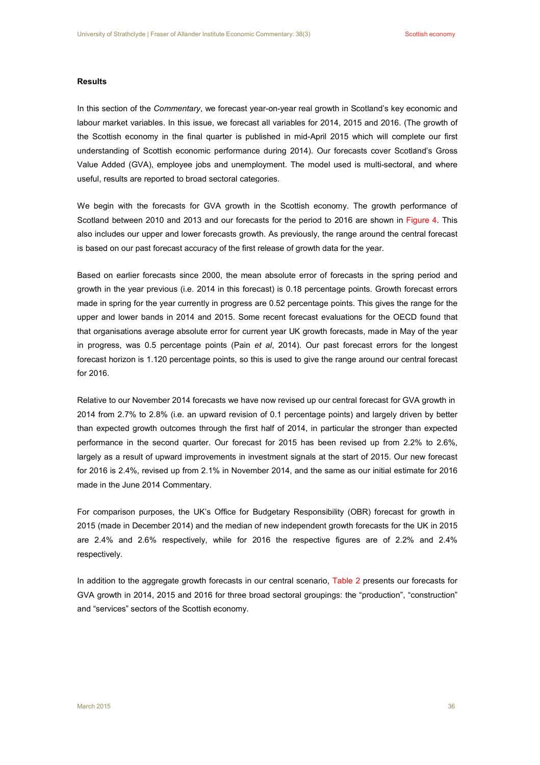# **Results**

In this section of the *Commentary*, we forecast year-on-year real growth in Scotland's key economic and labour market variables. In this issue, we forecast all variables for 2014, 2015 and 2016. (The growth of the Scottish economy in the final quarter is published in mid-April 2015 which will complete our first understanding of Scottish economic performance during 2014). Our forecasts cover Scotland's Gross Value Added (GVA), employee jobs and unemployment. The model used is multi-sectoral, and where useful, results are reported to broad sectoral categories.

We begin with the forecasts for GVA growth in the Scottish economy. The growth performance of Scotland between 2010 and 2013 and our forecasts for the period to 2016 are shown in Figure 4. This also includes our upper and lower forecasts growth. As previously, the range around the central forecast is based on our past forecast accuracy of the first release of growth data for the year.

Based on earlier forecasts since 2000, the mean absolute error of forecasts in the spring period and growth in the year previous (i.e. 2014 in this forecast) is 0.18 percentage points. Growth forecast errors made in spring for the year currently in progress are 0.52 percentage points. This gives the range for the upper and lower bands in 2014 and 2015. Some recent forecast evaluations for the OECD found that that organisations average absolute error for current year UK growth forecasts, made in May of the year in progress, was 0.5 percentage points (Pain *et al*, 2014). Our past forecast errors for the longest forecast horizon is 1.120 percentage points, so this is used to give the range around our central forecast for 2016.

Relative to our November 2014 forecasts we have now revised up our central forecast for GVA growth in 2014 from 2.7% to 2.8% (i.e. an upward revision of 0.1 percentage points) and largely driven by better than expected growth outcomes through the first half of 2014, in particular the stronger than expected performance in the second quarter. Our forecast for 2015 has been revised up from 2.2% to 2.6%, largely as a result of upward improvements in investment signals at the start of 2015. Our new forecast for 2016 is 2.4%, revised up from 2.1% in November 2014, and the same as our initial estimate for 2016 made in the June 2014 Commentary.

For comparison purposes, the UK's Office for Budgetary Responsibility (OBR) forecast for growth in 2015 (made in December 2014) and the median of new independent growth forecasts for the UK in 2015 are 2.4% and 2.6% respectively, while for 2016 the respective figures are of 2.2% and 2.4% respectively.

In addition to the aggregate growth forecasts in our central scenario, Table 2 presents our forecasts for GVA growth in 2014, 2015 and 2016 for three broad sectoral groupings: the "production", "construction" and "services" sectors of the Scottish economy.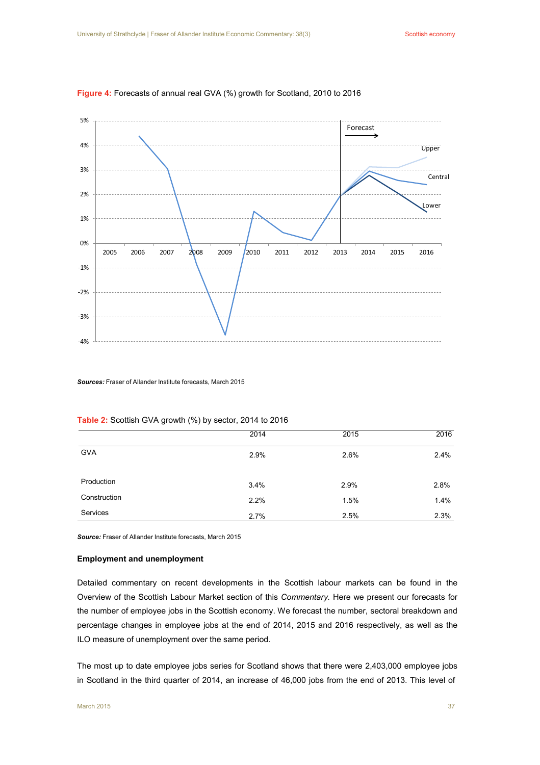

# **Figure 4:** Forecasts of annual real GVA (%) growth for Scotland, 2010 to 2016

*Sources:* Fraser of Allander Institute forecasts, March 2015

|              | 2014 | 2015 | 2016 |
|--------------|------|------|------|
| <b>GVA</b>   | 2.9% | 2.6% | 2.4% |
| Production   | 3.4% | 2.9% | 2.8% |
| Construction | 2.2% | 1.5% | 1.4% |
| Services     | 2.7% | 2.5% | 2.3% |

**Table 2:** Scottish GVA growth (%) by sector, 2014 to 2016

*Source:* Fraser of Allander Institute forecasts, March 2015

# **Employment and unemployment**

Detailed commentary on recent developments in the Scottish labour markets can be found in the Overview of the Scottish Labour Market section of this *Commentary.* Here we present our forecasts for the number of employee jobs in the Scottish economy. We forecast the number, sectoral breakdown and percentage changes in employee jobs at the end of 2014, 2015 and 2016 respectively, as well as the ILO measure of unemployment over the same period.

The most up to date employee jobs series for Scotland shows that there were 2,403,000 employee jobs in Scotland in the third quarter of 2014, an increase of 46,000 jobs from the end of 2013. This level of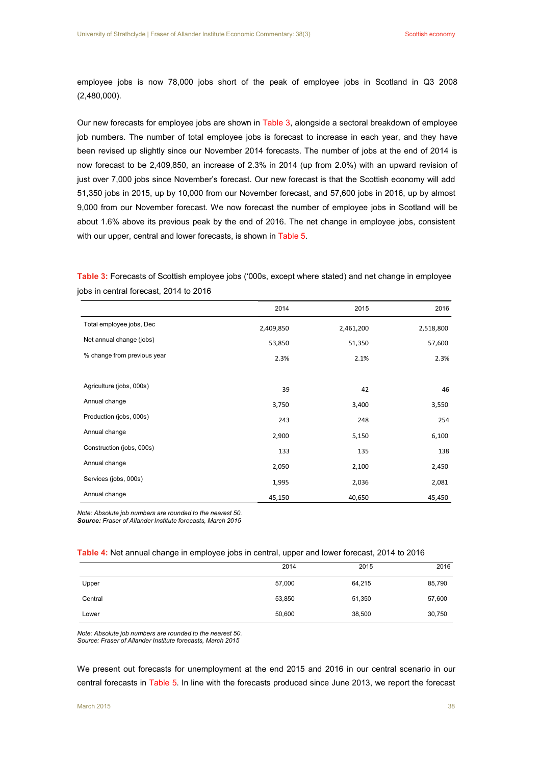employee jobs is now 78,000 jobs short of the peak of employee jobs in Scotland in Q3 2008 (2,480,000).

Our new forecasts for employee jobs are shown in Table 3, alongside a sectoral breakdown of employee job numbers. The number of total employee jobs is forecast to increase in each year, and they have been revised up slightly since our November 2014 forecasts. The number of jobs at the end of 2014 is now forecast to be 2,409,850, an increase of 2.3% in 2014 (up from 2.0%) with an upward revision of just over 7,000 jobs since November's forecast. Our new forecast is that the Scottish economy will add 51,350 jobs in 2015, up by 10,000 from our November forecast, and 57,600 jobs in 2016, up by almost 9,000 from our November forecast. We now forecast the number of employee jobs in Scotland will be about 1.6% above its previous peak by the end of 2016. The net change in employee jobs, consistent with our upper, central and lower forecasts, is shown in Table 5.

|                             | 2014      | 2015      | 2016      |
|-----------------------------|-----------|-----------|-----------|
| Total employee jobs, Dec    | 2,409,850 | 2,461,200 | 2,518,800 |
| Net annual change (jobs)    | 53,850    | 51,350    | 57,600    |
| % change from previous year | 2.3%      | 2.1%      | 2.3%      |
|                             |           |           |           |
| Agriculture (jobs, 000s)    | 39        | 42        | 46        |
| Annual change               | 3,750     | 3,400     | 3,550     |
| Production (jobs, 000s)     | 243       | 248       | 254       |
| Annual change               | 2,900     | 5,150     | 6,100     |
| Construction (jobs, 000s)   | 133       | 135       | 138       |
| Annual change               | 2,050     | 2,100     | 2,450     |
| Services (jobs, 000s)       | 1,995     | 2,036     | 2,081     |
| Annual change               | 45,150    | 40,650    | 45,450    |

**Table 3:** Forecasts of Scottish employee jobs ('000s, except where stated) and net change in employee jobs in central forecast, 2014 to 2016

*Note: Absolute job numbers are rounded to the nearest 50. Source: Fraser of Allander Institute forecasts, March 2015*

## **Table 4:** Net annual change in employee jobs in central, upper and lower forecast, 2014 to 2016

|         | 2014   | 2015   | 2016   |
|---------|--------|--------|--------|
| Upper   | 57,000 | 64,215 | 85,790 |
| Central | 53,850 | 51,350 | 57,600 |
| Lower   | 50,600 | 38,500 | 30,750 |

*Note: Absolute job numbers are rounded to the nearest 50. Source: Fraser of Allander Institute forecasts, March 2015*

We present out forecasts for unemployment at the end 2015 and 2016 in our central scenario in our central forecasts in Table 5. In line with the forecasts produced since June 2013, we report the forecast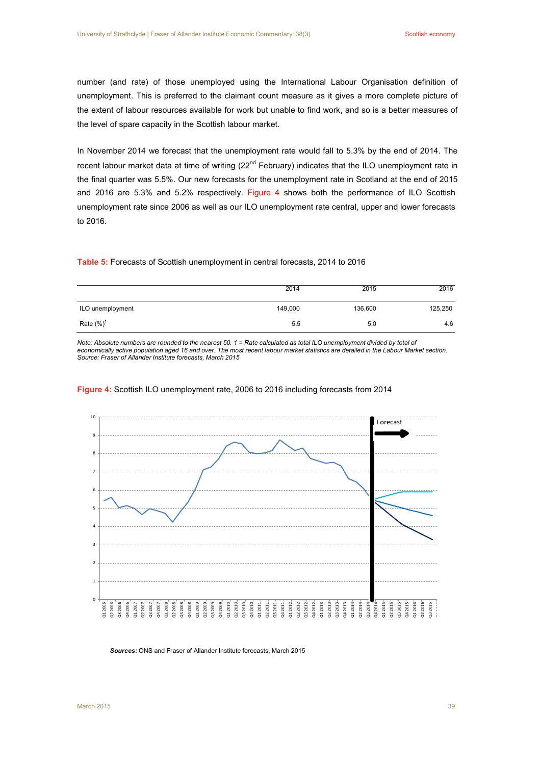number (and rate) of those unemployed using the International Labour Organisation definition of unemployment. This is preferred to the claimant count measure as it gives a more complete picture of the extent of labour resources available for work but unable to find work, and so is a better measures of the level of spare capacity in the Scottish labour market.

In November 2014 we forecast that the unemployment rate would fall to 5.3% by the end of 2014. The recent labour market data at time of writing (22<sup>nd</sup> February) indicates that the ILO unemployment rate in the final quarter was 5.5%. Our new forecasts for the unemployment rate in Scotland at the end of 2015 and 2016 are 5.3% and 5.2% respectively. Figure 4 shows both the performance of ILO Scottish unemployment rate since 2006 as well as our ILO unemployment rate central, upper and lower forecasts to 2016.

#### **Table 5:** Forecasts of Scottish unemployment in central forecasts, 2014 to 2016

|                  | 2014    | 2015    | 2016    |
|------------------|---------|---------|---------|
| ILO unemployment | 149,000 | 136,600 | 125,250 |
| Rate $(\%)^1$    | 5.5     | 5.0     | 4.6     |

Note: Absolute numbers are rounded to the nearest 50. 1 = Rate calculated as total ILO unemployment divided by total of economically active population aged 16 and over. The most recent labour market statistics are detailed in the Labour Market section. *Source: Fraser of Allander Institute forecasts, March 2015*



### **Figure 4:** Scottish ILO unemployment rate, 2006 to 2016 including forecasts from 2014

*Sources:* ONS and Fraser of Allander Institute forecasts, March 2015